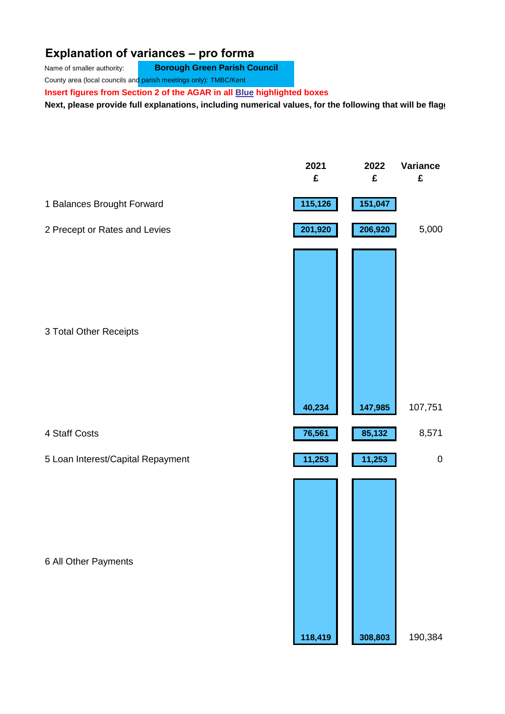## **Explanation of variances – pro forma**

Name of smaller authority: **Borough Green Parish Council** 

County area (local councils and parish meetings only): TMBC/Kent

**Insert figures from Section 2 of the AGAR in all Blue highlighted boxes** 

Next, please provide full explanations, including numerical values, for the following that will be flagged Next

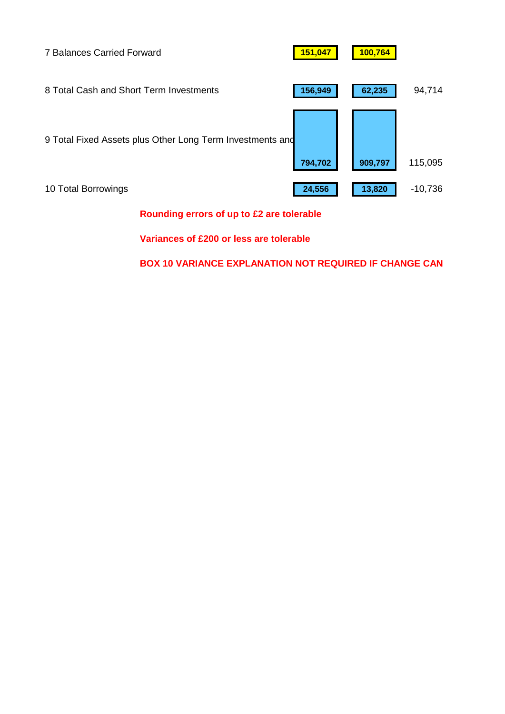

**Rounding errors of up to £2 are tolerable**

**Variances of £200 or less are tolerable**

**BOX 10 VARIANCE EXPLANATION NOT REQUIRED IF CHANGE CAN**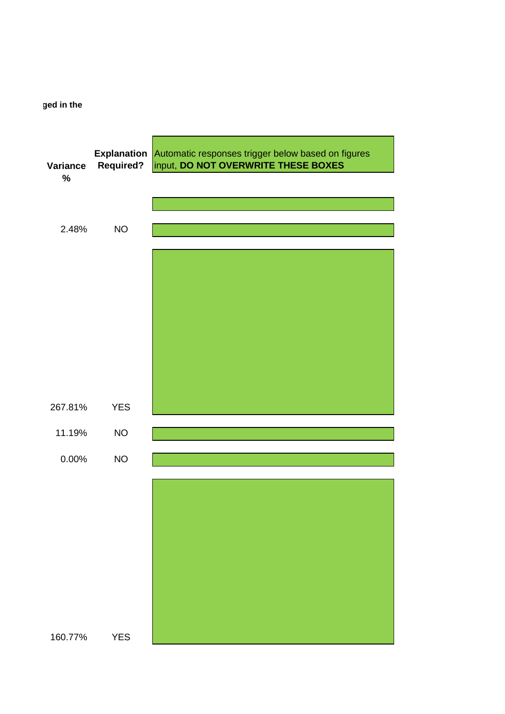**Next, please in the following property** 

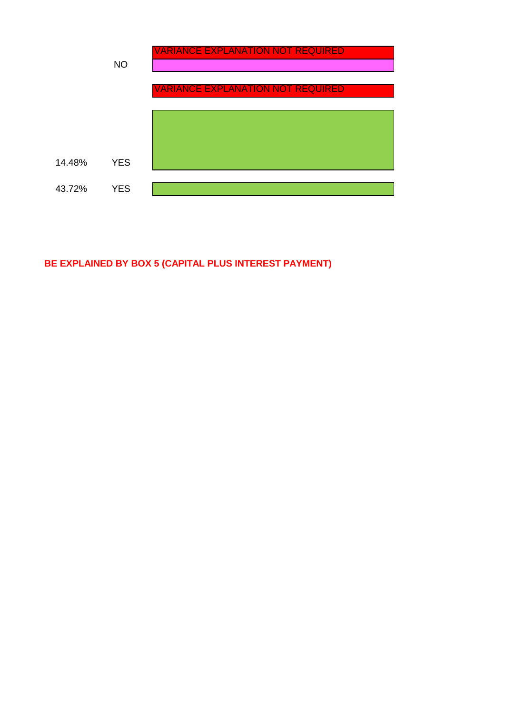

## **BE EXPLAINED BY BOX 5 (CAPITAL PLUS INTEREST PAYMENT)**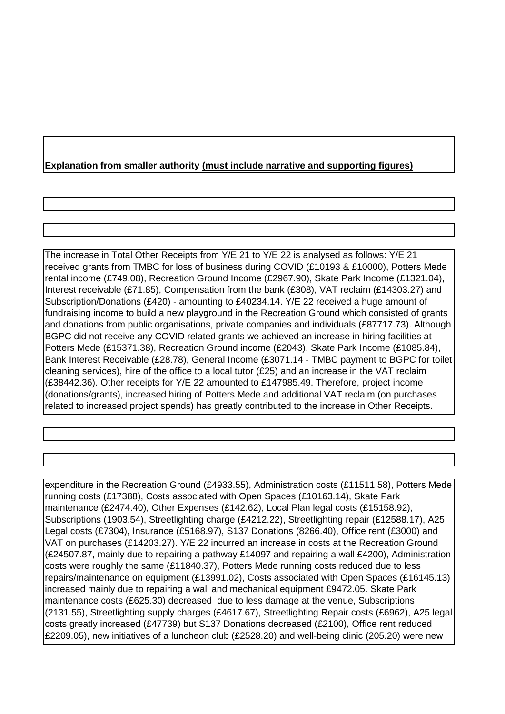## **Explanation from smaller authority (must include narrative and supporting figures)**

The increase in Total Other Receipts from Y/E 21 to Y/E 22 is analysed as follows: Y/E 21 received grants from TMBC for loss of business during COVID (£10193 & £10000), Potters Mede rental income (£749.08), Recreation Ground Income (£2967.90), Skate Park Income (£1321.04), Interest receivable (£71.85), Compensation from the bank (£308), VAT reclaim (£14303.27) and Subscription/Donations (£420) - amounting to £40234.14. Y/E 22 received a huge amount of fundraising income to build a new playground in the Recreation Ground which consisted of grants and donations from public organisations, private companies and individuals (£87717.73). Although BGPC did not receive any COVID related grants we achieved an increase in hiring facilities at Potters Mede (£15371.38), Recreation Ground income (£2043), Skate Park Income (£1085.84), Bank Interest Receivable (£28.78), General Income (£3071.14 - TMBC payment to BGPC for toilet cleaning services), hire of the office to a local tutor (£25) and an increase in the VAT reclaim (£38442.36). Other receipts for Y/E 22 amounted to £147985.49. Therefore, project income (donations/grants), increased hiring of Potters Mede and additional VAT reclaim (on purchases related to increased project spends) has greatly contributed to the increase in Other Receipts.

expenditure in the Recreation Ground (£4933.55), Administration costs (£11511.58), Potters Mede running costs (£17388), Costs associated with Open Spaces (£10163.14), Skate Park maintenance (£2474.40), Other Expenses (£142.62), Local Plan legal costs (£15158.92), Subscriptions (1903.54), Streetlighting charge (£4212.22), Streetlighting repair (£12588.17), A25 Legal costs (£7304), Insurance (£5168.97), S137 Donations (8266.40), Office rent (£3000) and VAT on purchases (£14203.27). Y/E 22 incurred an increase in costs at the Recreation Ground (£24507.87, mainly due to repairing a pathway £14097 and repairing a wall £4200), Administration costs were roughly the same (£11840.37), Potters Mede running costs reduced due to less repairs/maintenance on equipment (£13991.02), Costs associated with Open Spaces (£16145.13) increased mainly due to repairing a wall and mechanical equipment £9472.05. Skate Park maintenance costs (£625.30) decreased due to less damage at the venue, Subscriptions (2131.55), Streetlighting supply charges (£4617.67), Streetlighting Repair costs (£6962), A25 legal costs greatly increased (£47739) but S137 Donations decreased (£2100), Office rent reduced £2209.05), new initiatives of a luncheon club (£2528.20) and well-being clinic (205.20) were new